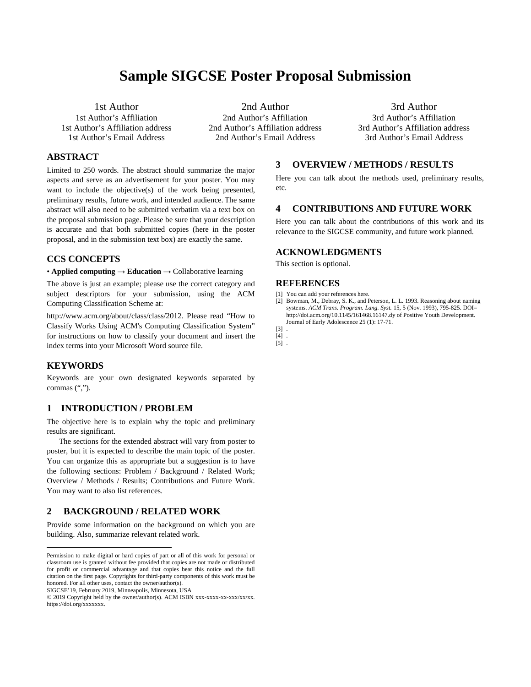# **Sample SIGCSE Poster Proposal Submission**

1st Author 1st Author's Affiliation 1st Author's Affiliation address 1st Author's Email Address

## **ABSTRACT**

Limited to 250 words. The abstract should summarize the major aspects and serve as an advertisement for your poster. You may want to include the objective(s) of the work being presented, preliminary results, future work, and intended audience. The same abstract will also need to be submitted verbatim via a text box on the proposal submission page. Please be sure that your description is accurate and that both submitted copies (here in the poster proposal, and in the submission text box) are exactly the same.[\\*](#page-0-0)

#### **CCS CONCEPTS**

• **Applied computing** → **Education** → Collaborative learning

The above is just an example; please use the correct category and subject descriptors for your submission, using the ACM Computing Classification Scheme at:

http://www.acm.org/about/class/class/2012. Please read "How to Classify Works Using ACM's Computing Classification System" for instructions on how to classify your document and insert the index terms into your Microsoft Word source file.

#### **KEYWORDS**

 $\overline{a}$ 

Keywords are your own designated keywords separated by commas (",").

## **1 INTRODUCTION / PROBLEM**

The objective here is to explain why the topic and preliminary results are significant.

The sections for the extended abstract will vary from poster to poster, but it is expected to describe the main topic of the poster. You can organize this as appropriate but a suggestion is to have the following sections: Problem / Background / Related Work; Overview / Methods / Results; Contributions and Future Work. You may want to also list references.

## **2 BACKGROUND / RELATED WORK**

Provide some information on the background on which you are building. Also, summarize relevant related work.

SIGCSE'19, February 2019, Minneapolis, Minnesota, USA

2nd Author 2nd Author's Affiliation 2nd Author's Affiliation address 2nd Author's Email Address

3rd Author 3rd Author's Affiliation 3rd Author's Affiliation address 3rd Author's Email Address

#### **3 OVERVIEW / METHODS / RESULTS**

Here you can talk about the methods used, preliminary results, etc.

#### **4 CONTRIBUTIONS AND FUTURE WORK**

Here you can talk about the contributions of this work and its relevance to the SIGCSE community, and future work planned.

## **ACKNOWLEDGMENTS**

This section is optional.

#### **REFERENCES**

- [1] You can add your references here.
- [2] Bowman, M., Debray, S. K., and Peterson, L. L. 1993. Reasoning about naming systems. *ACM Trans. Program. Lang. Syst.* 15, 5 (Nov. 1993), 795-825. DOI= http://doi.acm.org/10.1145/161468.16147.dy of Positive Youth Development. Journal of Early Adolescence 25 (1): 17-71.
- [3] . [4] .
- [5] .

<span id="page-0-0"></span>Permission to make digital or hard copies of part or all of this work for personal or classroom use is granted without fee provided that copies are not made or distributed for profit or commercial advantage and that copies bear this notice and the full citation on the first page. Copyrights for third-party components of this work must be honored. For all other uses, contact the owner/author(s).

<sup>© 2019</sup> Copyright held by the owner/author(s). ACM ISBN xxx-xxxx-xx-xxx/xx/xx. https://doi.org/xxxxxxx.